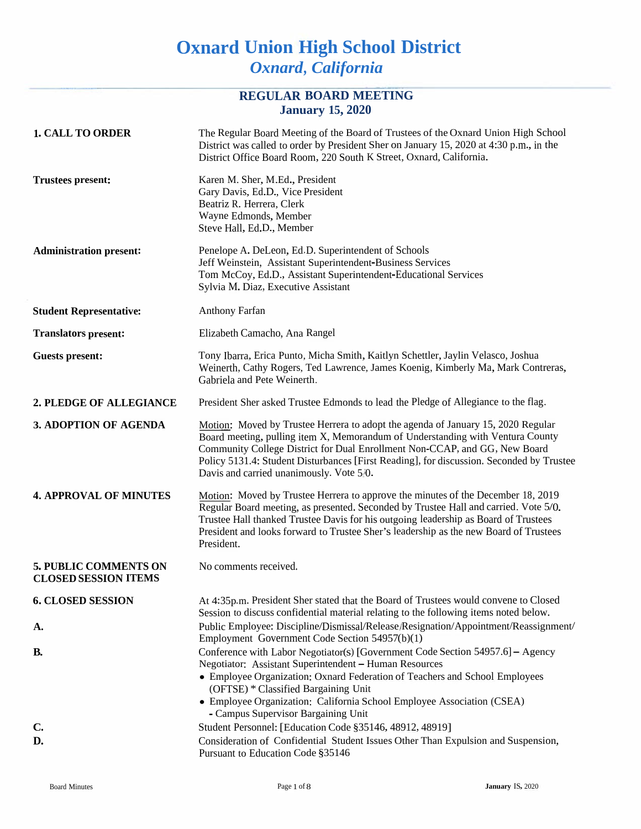# **Oxnard Union High School District** *Oxnard, California*

## **REGULAR BOARD MEETING January 15, 2020**

| <b>1. CALL TO ORDER</b>                                     | The Regular Board Meeting of the Board of Trustees of the Oxnard Union High School<br>District was called to order by President Sher on January 15, 2020 at 4:30 p.m., in the<br>District Office Board Room, 220 South K Street, Oxnard, California.                                                                                                                                                                               |
|-------------------------------------------------------------|------------------------------------------------------------------------------------------------------------------------------------------------------------------------------------------------------------------------------------------------------------------------------------------------------------------------------------------------------------------------------------------------------------------------------------|
| <b>Trustees present:</b>                                    | Karen M. Sher, M.Ed., President<br>Gary Davis, Ed.D., Vice President<br>Beatriz R. Herrera, Clerk<br>Wayne Edmonds, Member<br>Steve Hall, Ed.D., Member                                                                                                                                                                                                                                                                            |
| <b>Administration present:</b>                              | Penelope A. DeLeon, Ed.D. Superintendent of Schools<br>Jeff Weinstein, Assistant Superintendent-Business Services<br>Tom McCoy, Ed.D., Assistant Superintendent-Educational Services<br>Sylvia M. Diaz, Executive Assistant                                                                                                                                                                                                        |
| <b>Student Representative:</b>                              | Anthony Farfan                                                                                                                                                                                                                                                                                                                                                                                                                     |
| <b>Translators present:</b>                                 | Elizabeth Camacho, Ana Rangel                                                                                                                                                                                                                                                                                                                                                                                                      |
| <b>Guests present:</b>                                      | Tony Ibarra, Erica Punto, Micha Smith, Kaitlyn Schettler, Jaylin Velasco, Joshua<br>Weinerth, Cathy Rogers, Ted Lawrence, James Koenig, Kimberly Ma, Mark Contreras,<br>Gabriela and Pete Weinerth.                                                                                                                                                                                                                                |
| 2. PLEDGE OF ALLEGIANCE                                     | President Sher asked Trustee Edmonds to lead the Pledge of Allegiance to the flag.                                                                                                                                                                                                                                                                                                                                                 |
| 3. ADOPTION OF AGENDA                                       | Motion: Moved by Trustee Herrera to adopt the agenda of January 15, 2020 Regular<br>Board meeting, pulling item X, Memorandum of Understanding with Ventura County<br>Community College District for Dual Enrollment Non-CCAP, and GG, New Board<br>Policy 5131.4: Student Disturbances [First Reading], for discussion. Seconded by Trustee<br>Davis and carried unanimously. Vote 5/0.                                           |
| <b>4. APPROVAL OF MINUTES</b>                               | Motion: Moved by Trustee Herrera to approve the minutes of the December 18, 2019<br>Regular Board meeting, as presented. Seconded by Trustee Hall and carried. Vote 5/0.<br>Trustee Hall thanked Trustee Davis for his outgoing leadership as Board of Trustees<br>President and looks forward to Trustee Sher's leadership as the new Board of Trustees<br>President.                                                             |
| <b>5. PUBLIC COMMENTS ON</b><br><b>CLOSED SESSION ITEMS</b> | No comments received.                                                                                                                                                                                                                                                                                                                                                                                                              |
| <b>6. CLOSED SESSION</b>                                    | At 4:35p.m. President Sher stated that the Board of Trustees would convene to Closed<br>Session to discuss confidential material relating to the following items noted below.                                                                                                                                                                                                                                                      |
| A.                                                          | Public Employee: Discipline/Dismissal/Release/Resignation/Appointment/Reassignment/                                                                                                                                                                                                                                                                                                                                                |
| <b>B.</b>                                                   | Employment Government Code Section 54957(b)(1)<br>Conference with Labor Negotiator(s) [Government Code Section 54957.6] - Agency<br>Negotiator: Assistant Superintendent - Human Resources<br>• Employee Organization: Oxnard Federation of Teachers and School Employees<br>(OFTSE) * Classified Bargaining Unit<br>• Employee Organization: California School Employee Association (CSEA)<br>- Campus Supervisor Bargaining Unit |
| $C_{\bullet}$                                               | Student Personnel: [Education Code §35146, 48912, 48919]                                                                                                                                                                                                                                                                                                                                                                           |
| D.                                                          | Consideration of Confidential Student Issues Other Than Expulsion and Suspension,<br>Pursuant to Education Code §35146                                                                                                                                                                                                                                                                                                             |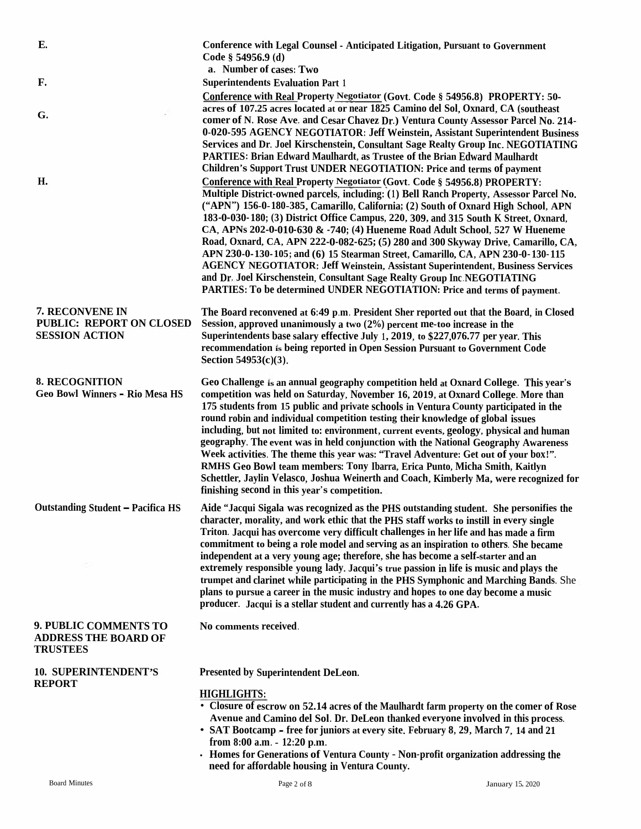| E.                                                                          | Conference with Legal Counsel - Anticipated Litigation, Pursuant to Government<br>Code § 54956.9 (d)<br>a. Number of cases: Two                                                                                                                                                                                                                                                                                                                                                                                                                                                                                                                                                                                                                                                                                                                             |
|-----------------------------------------------------------------------------|-------------------------------------------------------------------------------------------------------------------------------------------------------------------------------------------------------------------------------------------------------------------------------------------------------------------------------------------------------------------------------------------------------------------------------------------------------------------------------------------------------------------------------------------------------------------------------------------------------------------------------------------------------------------------------------------------------------------------------------------------------------------------------------------------------------------------------------------------------------|
| F.                                                                          | <b>Superintendents Evaluation Part 1</b>                                                                                                                                                                                                                                                                                                                                                                                                                                                                                                                                                                                                                                                                                                                                                                                                                    |
|                                                                             | Conference with Real Property Negotiator (Govt. Code § 54956.8) PROPERTY: 50-                                                                                                                                                                                                                                                                                                                                                                                                                                                                                                                                                                                                                                                                                                                                                                               |
| G.                                                                          | acres of 107.25 acres located at or near 1825 Camino del Sol, Oxnard, CA (southeast<br>comer of N. Rose Ave. and Cesar Chavez Dr.) Ventura County Assessor Parcel No. 214-<br>0-020-595 AGENCY NEGOTIATOR: Jeff Weinstein, Assistant Superintendent Business<br>Services and Dr. Joel Kirschenstein, Consultant Sage Realty Group Inc. NEGOTIATING<br><b>PARTIES: Brian Edward Maulhardt, as Trustee of the Brian Edward Maulhardt</b><br>Children's Support Trust UNDER NEGOTIATION: Price and terms of payment                                                                                                                                                                                                                                                                                                                                            |
| H.                                                                          | Conference with Real Property Negotiator (Govt. Code § 54956.8) PROPERTY:<br>Multiple District-owned parcels, including: (1) Bell Ranch Property, Assessor Parcel No.<br>("APN") 156-0-180-385, Camarillo, California; (2) South of Oxnard High School, APN<br>183-0-030-180; (3) District Office Campus, 220, 309, and 315 South K Street, Oxnard,<br>CA, APNs 202-0-010-630 & -740; (4) Hueneme Road Adult School, 527 W Hueneme<br>Road, Oxnard, CA, APN 222-0-082-625; (5) 280 and 300 Skyway Drive, Camarillo, CA,<br>APN 230-0-130-105; and (6) 15 Stearman Street, Camarillo, CA, APN 230-0-130-115<br><b>AGENCY NEGOTIATOR: Jeff Weinstein, Assistant Superintendent, Business Services</b><br>and Dr. Joel Kirschenstein, Consultant Sage Realty Group Inc.NEGOTIATING<br>PARTIES: To be determined UNDER NEGOTIATION: Price and terms of payment. |
| 7. RECONVENE IN<br><b>PUBLIC: REPORT ON CLOSED</b><br><b>SESSION ACTION</b> | The Board reconvened at 6:49 p.m. President Sher reported out that the Board, in Closed<br>Session, approved unanimously a two $(2%)$ percent me-too increase in the<br>Superintendents base salary effective July 1, 2019, to \$227,076.77 per year. This<br>recommendation is being reported in Open Session Pursuant to Government Code<br>Section $54953(c)(3)$ .                                                                                                                                                                                                                                                                                                                                                                                                                                                                                       |
| <b>8. RECOGNITION</b><br><b>Geo Bowl Winners - Rio Mesa HS</b>              | Geo Challenge is an annual geography competition held at Oxnard College. This year's<br>competition was held on Saturday, November 16, 2019, at Oxnard College. More than<br>175 students from 15 public and private schools in Ventura County participated in the<br>round robin and individual competition testing their knowledge of global issues<br>including, but not limited to: environment, current events, geology, physical and human<br>geography. The event was in held conjunction with the National Geography Awareness<br>Week activities. The theme this year was: "Travel Adventure: Get out of your box!".<br>RMHS Geo Bowl team members: Tony Ibarra, Erica Punto, Micha Smith, Kaitlyn<br>Schettler, Jaylin Velasco, Joshua Weinerth and Coach, Kimberly Ma, were recognized for<br>finishing second in this year's competition.       |
| <b>Outstanding Student - Pacifica HS</b>                                    | Aide "Jacqui Sigala was recognized as the PHS outstanding student. She personifies the<br>character, morality, and work ethic that the PHS staff works to instill in every single<br>Triton. Jacqui has overcome very difficult challenges in her life and has made a firm<br>commitment to being a role model and serving as an inspiration to others. She became<br>independent at a very young age; therefore, she has become a self-starter and an<br>extremely responsible young lady. Jacqui's true passion in life is music and plays the<br>trumpet and clarinet while participating in the PHS Symphonic and Marching Bands. She<br>plans to pursue a career in the music industry and hopes to one day become a music<br>producer. Jacqui is a stellar student and currently has a 4.26 GPA.                                                      |
| 9. PUBLIC COMMENTS TO<br><b>ADDRESS THE BOARD OF</b><br><b>TRUSTEES</b>     | No comments received.                                                                                                                                                                                                                                                                                                                                                                                                                                                                                                                                                                                                                                                                                                                                                                                                                                       |
| <b>10. SUPERINTENDENT'S</b>                                                 | <b>Presented by Superintendent DeLeon.</b>                                                                                                                                                                                                                                                                                                                                                                                                                                                                                                                                                                                                                                                                                                                                                                                                                  |
| <b>REPORT</b>                                                               | <b>HIGHLIGHTS:</b><br>• Closure of escrow on 52.14 acres of the Maulhardt farm property on the comer of Rose<br>Avenue and Camino del Sol. Dr. DeLeon thanked everyone involved in this process.<br>• SAT Bootcamp - free for juniors at every site. February 8, 29, March 7, 14 and 21<br>from 8:00 a.m. - 12:20 p.m.<br>- Homes for Generations of Ventura County - Non-profit organization addressing the<br>need for affordable housing in Ventura County.                                                                                                                                                                                                                                                                                                                                                                                              |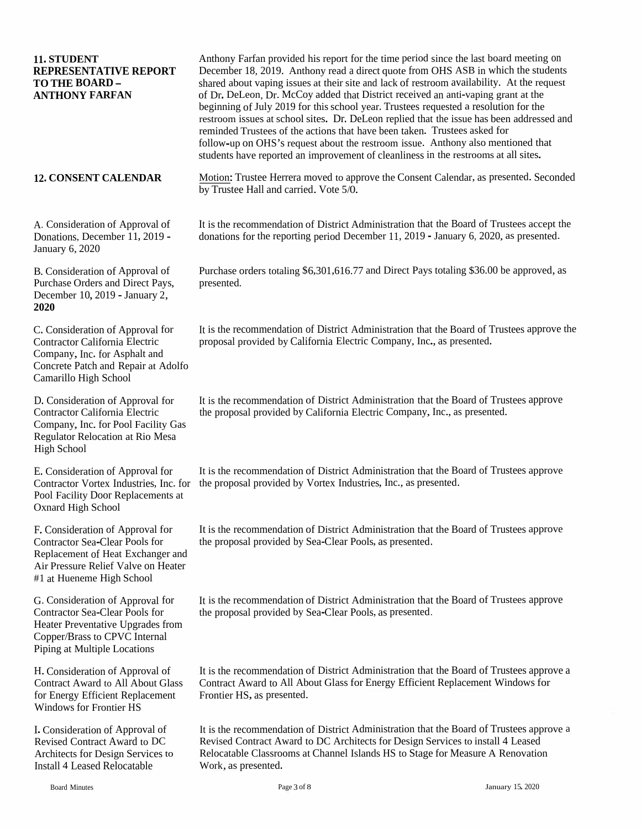| 11. STUDENT<br><b>REPRESENTATIVE REPORT</b><br><b>TO THE BOARD -</b><br><b>ANTHONY FARFAN</b>                                                                                      | Anthony Farfan provided his report for the time period since the last board meeting on<br>December 18, 2019. Anthony read a direct quote from OHS ASB in which the students<br>shared about vaping issues at their site and lack of restroom availability. At the request<br>of Dr. DeLeon, Dr. McCoy added that District received an anti-vaping grant at the<br>beginning of July 2019 for this school year. Trustees requested a resolution for the<br>restroom issues at school sites. Dr. DeLeon replied that the issue has been addressed and<br>reminded Trustees of the actions that have been taken. Trustees asked for<br>follow-up on OHS's request about the restroom issue. Anthony also mentioned that<br>students have reported an improvement of cleanliness in the restrooms at all sites. |
|------------------------------------------------------------------------------------------------------------------------------------------------------------------------------------|-------------------------------------------------------------------------------------------------------------------------------------------------------------------------------------------------------------------------------------------------------------------------------------------------------------------------------------------------------------------------------------------------------------------------------------------------------------------------------------------------------------------------------------------------------------------------------------------------------------------------------------------------------------------------------------------------------------------------------------------------------------------------------------------------------------|
| <b>12. CONSENT CALENDAR</b>                                                                                                                                                        | Motion: Trustee Herrera moved to approve the Consent Calendar, as presented. Seconded<br>by Trustee Hall and carried. Vote 5/0.                                                                                                                                                                                                                                                                                                                                                                                                                                                                                                                                                                                                                                                                             |
| A. Consideration of Approval of<br>Donations, December 11, 2019 -<br>January 6, 2020                                                                                               | It is the recommendation of District Administration that the Board of Trustees accept the<br>donations for the reporting period December 11, 2019 - January 6, 2020, as presented.                                                                                                                                                                                                                                                                                                                                                                                                                                                                                                                                                                                                                          |
| B. Consideration of Approval of<br>Purchase Orders and Direct Pays,<br>December 10, 2019 - January 2,<br>2020                                                                      | Purchase orders totaling \$6,301,616.77 and Direct Pays totaling \$36.00 be approved, as<br>presented.                                                                                                                                                                                                                                                                                                                                                                                                                                                                                                                                                                                                                                                                                                      |
| C. Consideration of Approval for<br>Contractor California Electric<br>Company, Inc. for Asphalt and<br>Concrete Patch and Repair at Adolfo<br>Camarillo High School                | It is the recommendation of District Administration that the Board of Trustees approve the<br>proposal provided by California Electric Company, Inc., as presented.                                                                                                                                                                                                                                                                                                                                                                                                                                                                                                                                                                                                                                         |
| D. Consideration of Approval for<br>Contractor California Electric<br>Company, Inc. for Pool Facility Gas<br>Regulator Relocation at Rio Mesa<br><b>High School</b>                | It is the recommendation of District Administration that the Board of Trustees approve<br>the proposal provided by California Electric Company, Inc., as presented.                                                                                                                                                                                                                                                                                                                                                                                                                                                                                                                                                                                                                                         |
| E. Consideration of Approval for<br>Contractor Vortex Industries, Inc. for<br>Pool Facility Door Replacements at<br><b>Oxnard High School</b>                                      | It is the recommendation of District Administration that the Board of Trustees approve<br>the proposal provided by Vortex Industries, Inc., as presented.                                                                                                                                                                                                                                                                                                                                                                                                                                                                                                                                                                                                                                                   |
| F. Consideration of Approval for<br><b>Contractor Sea-Clear Pools for</b><br>Replacement of Heat Exchanger and<br>Air Pressure Relief Valve on Heater<br>#1 at Hueneme High School | It is the recommendation of District Administration that the Board of Trustees approve<br>the proposal provided by Sea-Clear Pools, as presented.                                                                                                                                                                                                                                                                                                                                                                                                                                                                                                                                                                                                                                                           |
| G. Consideration of Approval for<br>Contractor Sea-Clear Pools for<br>Heater Preventative Upgrades from<br>Copper/Brass to CPVC Internal<br>Piping at Multiple Locations           | It is the recommendation of District Administration that the Board of Trustees approve<br>the proposal provided by Sea-Clear Pools, as presented.                                                                                                                                                                                                                                                                                                                                                                                                                                                                                                                                                                                                                                                           |
| H. Consideration of Approval of<br><b>Contract Award to All About Glass</b><br>for Energy Efficient Replacement<br><b>Windows for Frontier HS</b>                                  | It is the recommendation of District Administration that the Board of Trustees approve a<br>Contract Award to All About Glass for Energy Efficient Replacement Windows for<br>Frontier HS, as presented.                                                                                                                                                                                                                                                                                                                                                                                                                                                                                                                                                                                                    |
| I. Consideration of Approval of<br><b>Revised Contract Award to DC</b><br>Architects for Design Services to<br><b>Install 4 Leased Relocatable</b>                                 | It is the recommendation of District Administration that the Board of Trustees approve a<br>Revised Contract Award to DC Architects for Design Services to install 4 Leased<br>Relocatable Classrooms at Channel Islands HS to Stage for Measure A Renovation<br>Work, as presented.                                                                                                                                                                                                                                                                                                                                                                                                                                                                                                                        |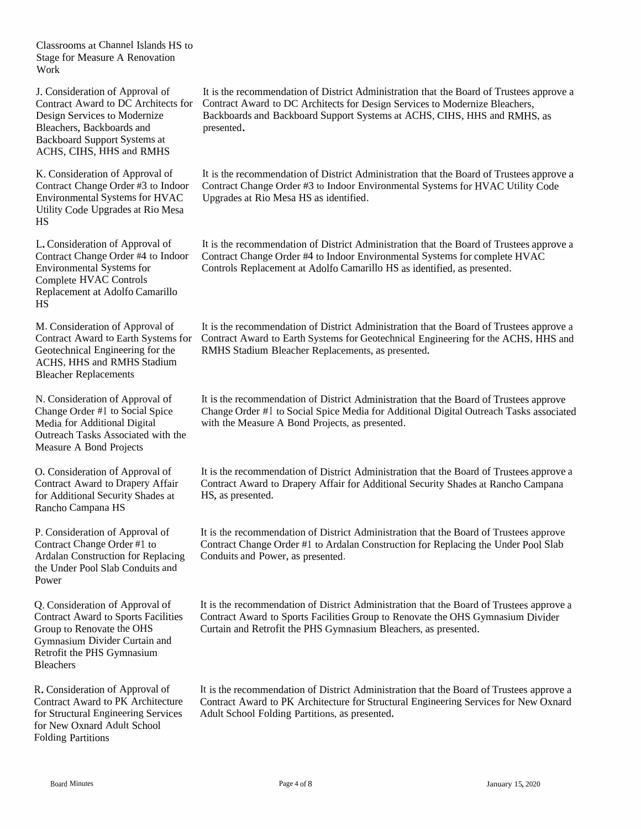Classrooms at Channel Islands HS to Stage for Measure A Renovation<br>Work Work

J. Consideration of Approval of Contract Award to DC<br>Decime Samison to Ma Design Services to Modernize Bleachers, Backboards andBackboard Support Systems at<br>ACUS CUIS HUS and DAUG ACHS, CIHS, HHS and RMHS

K. Consideration of Approval of<br>Contract Change Order #2 to Ind Contract Change Order #3Environmental Systems for HVAC Utility Code Upgrades at Rio Mesa HS

L. Consideration of Approval of Contract Change Order #4Environmental Systems for Complete HVACComplete HVAC Controls<br>Replacement at Adolfo Camarillo<br>US HS

M. Consideration of Approval of Contract Award to Earth Systems for<br>Contractoriant Engineering for the Geotechnical Engineering for the<br>A GUS JUIS and DAUS Stadium ACHS, HHS and RMHS Stadium Bleacher Replacements

N. Consideration of Approval of<br>Change Order #L to Social Spice Change Order #I to Social Spice<br>M. J. for Additional Divital Media for Additional Digital Outreach Tasks Associated with the Measure <sup>A</sup> Bond Projects

O. Consideration of Approval of Contract Award to Drapery Affair for Additional Security Shades at Rancho Campana HS

P. Consideration of Approval of Contract Change Order #1 to Ardalan Construction for Replacing the Under Pool Slab Conduits and Power

Q. Consideration of Approval of<br>Contract Award to Sports Fooilit Contract Award to Sports Facilities Group to Renovate the OHS<br>Commention Divider Curtain Gymnasium Divider Curtai Divider Curtain and Retrofit the PHS GymnasiumBleachers

R. Consideration of Approval of<br>Contract Award to PK Architect Contract Award to PK<br>for Structural Engineer Contract Award to PK Architecture<br>for Structural Engineering Services<br>for New Oppeal Adult School for New Oxnard Adult School<br>Folding Partitions Folding Partitions

n of Approval of It is the recommendation of District Administration that the Board of Trustees approve a<br>d to DC Architects for Contract Award to DC Architects for Design Services to Medamine Placeboard Architects for Contract Award to DC Architects for Design Services to Modernize Bleachers, Backboards and Backboard Support Systems at ACHS, CIHS, HHS and RMHS, as<br>presented presented.

3 to Indoor Contract Change Order #3 to Indoor Environmental Systems for HVAC Utility Code<br>or HVAC Unerades at Rio Mesa HS as identified It is the recommendation of District Administration that the Board of Trustees approve a<br>Centre of Chance Order #2 to Indeen Environmental Systems for UVAC Utility Code Upgrades at Rio Mesa HS as identified.

n of Approval of It is the recommendation of District Administration that the Board of Trustees approve a<br>Contae #4 to Indeen Centrest Change Order #4 to Indeen Environmental Systems for complete IWAC 4 to Indoor Contract Change Order #4 to Indoor Environmental Systems for complete HVAC Controls Replacement at Adolfo Camarillo HS as identified, as presented.

> It is the recommendation of District Administration that the Board of Trustees approve a<br>Contract Award to Forth Systems for Contrabation Indianasing for the AGUS, UUS and Contract Award to Earth Systems for Geotechnical Engineering for the ACHS, HHS and RMHS Stadium Bleacher Replacements, as presented.

> It is the recommendation of District Administration that the Board of Trustees approve<br>Change Order #1 to Sasial Spice Madie for Additional District Outwards Tealy appeared Change Order #I to Social Spice Media for Additional Digital Outreach Tasks associated<br>with the Measure A Bond Pasiasta as assessed with the Measure <sup>A</sup> Bond Projects, as presented.

It is the recommendation of District Administration that the Board of Trustees approve a<br>Contract Arrord to Drapory Affair for Additional Sequrity Shades of Banche Company Contract Award to Drapery Affair for Additional Security Shades at Rancho Campana HS, as presented.

It is the recommendation of District Administration that the Board of Trustees approve<br>Contract Change Order #1 to Ardelen Construction for Berlesing the Under Park Slab Contract Change Order #1 to Ardalan Construction for Replacing the Under Pool SlabConduits and Power, as presented.

It is the recommendation of District Administration that the Board of Trustees approve a<br>Contract Arrest to Special Facilities Cross to Benezute the OUS G Contract Award to Sports Facilities Group to Renovate the OHS Gymnasium Divider Curtain and Retrofit the PHS Gymnasium Bleachers, as presented.

It is the recommendation of District Administration that the Board of Trustees approve a<br>Contract Arrest to PK, Architecture for Structural Engineering Services for New Oxnard Contract Award to PK Architecture for Structural Engineering Services for New Oxnard Adult School Folding Partitions, as presented.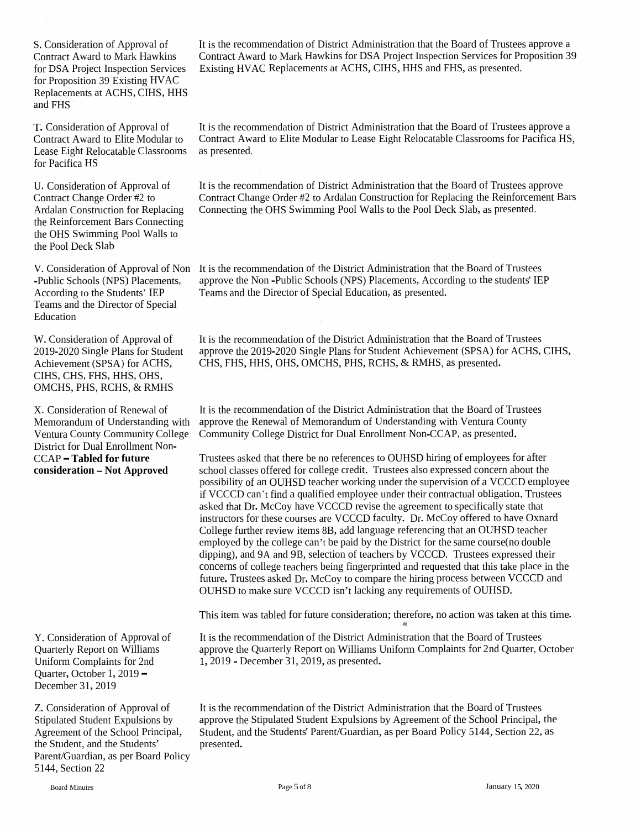S. Consideration of Approval of Contract Award to Mark Hawkins for Proposition <sup>39</sup> Existing HVAC Replacements at ACHS, CIHS, HHS and FHS

T. Consideration of Approval of Contract Award to Elite Modular to Lease Eight Relocatable Classrooms as presented, for Pacifica HS

U. Consideration of Approval of Contract Change Order #2 to the Reinforcement Bars Connecting the OHS Swimming Pool Walls to the Pool Deck Slab

Teams and the Director of Special Education

CIHS, CHS, FHS, HHS, OHS, OMCHS, PHS, RCHS, & RMHS

District for Dual Enrollment Non-

Quarter, October 1, 2019 - December 31, 2019

Z. Consideration of Approval of It is the reception Stipulated Student Expulsions by approve the Agreement of the School Principal, Student, and the Students' presented. Parent/Guardian, as per Board Policy 5144, Section 22

It is the recommendation of District Administration that the Board of Trustees approve <sup>a</sup> Contract Award to Mark Hawkins for DSA Project Inspection Services for Proposition <sup>39</sup> for DSA Project Inspection Services Existing HVAC Replacements at ACHS, CIHS, HHS and FHS, as presented,

> It is the recommendation of District Administration that the Board of Trustees approve <sup>a</sup> Contract Award to Elite Modular to Lease Eight Relocatable Classrooms for Pacifica HS,

It is the recommendation of District Administration that the Board of Trustees approve Contract Change Order #2 to Ardalan Construction for Replacing the Reinforcement Bars Ardalan Construction for Replacing Connecting the OHS Swimming Pool Walls to the Pool Deck Slab, as presented,

V. Consideration of Approval of Non It is the recommendation of the District Administration that the Board of Trustees -Public Schools (NPS) Placements, approve the Non -Public Schools (NPS) Placements, According to the students' IEP According to the Students<sup>\*</sup> IEP Teams and the Director of Special Education, as presented.

It is the recommendation of the District Administration that the Board of Trustees approve the 2019-2020 Single Plans for Student Achievement (SPSA) for ACHS, CIHS, W. Consideration of Approval of It is the recommendation of the District Administration that the Board of 2019-2020 Single Plans for Student Achievement (SPSA) for ACHS, CHS, FHS, HHS, OHS, OMCHS, PHS, RCHS, & RMHS, as pre

X. Consideration of Renewal of It is the recommendation of the District Administration that the Board of Trustees Memorandum of Understanding with approve the Renewal of Memorandum of Understanding with Ventura County Ventura County Community College Community College District for Dual Enrollment Non-CCAP, as presented.

Trustees asked that there be no references to OUHSD hiring of employees for after school classes offered for college credit. Trustees also expressed concern about the possibility of an OUHSD teacher working under the supervision of <sup>a</sup> VCCCD employee if VCCCD can<sup>\*</sup>t find a qualified employee under their contractual obligation. Trustees asked that Dr. McCoy have VCCCD revise the agreemen<sup>t</sup> to specifically state that instructors for these courses are VCCCD faculty. Dr. McCoy offered to have Oxnard College further review items 8B, add language referencing that an OUHSD teacher employed by the college can't be paid by the District for the same course(no double dipping), and 9A and 9B, selection of teachers by VCCCD. Trustees expresse<sup>d</sup> their concerns of college teachers being fingerprinted and requested that this take <sup>p</sup>lace in the future. Trustees asked Dr. McCoy to compare the hiring process between VCCCD and **CCAP – Tabled for future** Trustees asked that there be no references to OUHSD hiring of employees school classes offered for college credit. Trustees also expressed concern a possibility of an OUHSD teacher working under

This item was tabled for future consideration; therefore, no action was taken at this time.

It is the recommendation of the District Administration that the Board of Trustees approve the Quarterly Report on Williams Uniform Complaints for 2nd Quarter, October 1, 2019 - Personal of Manuel of Approval of The District Adr approve the Quarterly Report on Williams Uniform Complaints for 2nd 1, 2019 - December 31, 2019, as presented.

> It is the recommendation of the District Administration that the Board of Trustees approve the Stipulated Student Expulsions by Agreement of the School Principal, the Student, and the Students' Parent/Guardian, as per Board Policy 5144, Section 22, as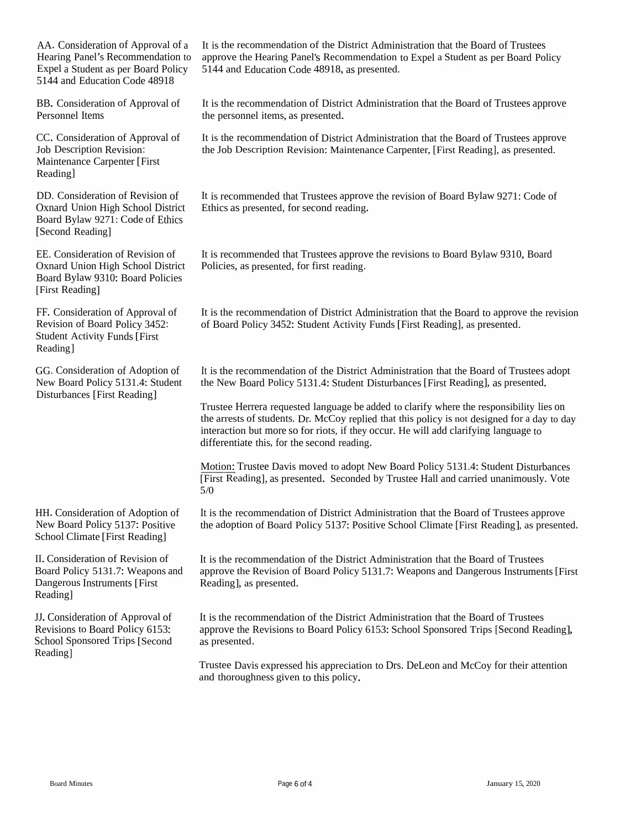AA. ConsiderationHearing Panel's Recommendation toExpel a Student as per Board Policy 5144<br>5144 and Education Code 48018 Expel a Student as per Board Policy — 5144 and Education Code 48918, as presented.<br>5144 and Education Code 48918 5144 and Education Code 48918

BB. Consideration of Approval of Personnel Items

Maintenance Carpenter [First Reading]

DD. Consideration of Revision of Oxnard Union High School District<br>Roard Bulaw 0271: Gode of Ethics Board Bylaw 9271: Code of Ethics<br>[Second Reading] [Second Reading]

EE. Consideration of Revision of Oxnard Union High School District Board Bylaw 9310: Board Policies<br>FFirst Reading1 [First Reading]

FF. Consideration of Approval of Revision of Board Policy 3452:<br>Student Activity Funds [First] Student Activity Funds[First Reading]

GG. Consideration of Adoption of New Board Policy 5131.4: Student Disturbances [First Reading]

HH. Consideration of Adoption of New Board Policy 5137: Positive New Board Policy 5137: Positive<br>School Climate [First Reading]

II. Consideration of Revision of Board Policy 5131.7: Weapons and<br>Democracy Instruments [Einst] Dangerous Instruments [First Reading]

JJ. Consideration of Approval of Revisions to Board Policy 6153:<br>Sehool Snapsgred Trins [Seeans School Sponsored Trips [Second<br>Peadinal Reading]

n of Approval of a It is the recommendation of the District Administration that the Board of Trustees o approve the Hearing Panel's Recommendation to Expel a Student as per Board Policy

> It is the recommendation of District Administration that the Board of Trustees approve<br>the narrowsed items as approximated the personne<sup>l</sup> items, as presented.

It is the recommendation of District Administration that the Board of Trustees approve<br>the John Description Devision: Meintenance Corporter, [First Desdivel as approximated CC. Consideration of Approval of It is the recommendation of District Administration that the Board of Trustees approxal of Its the Job Description Revision: Maintenance Carpenter, [First Reading], as presented.<br>Maintenanc

> It is recommended that Trustees approve the revision of Board Bylaw 9271: Code of<br>Ethics as presented, for second reading. Ethics as presented, for second reading.

It is recommended that Trustees approve the revisions to Board Bylaw 9310, Board<br>Policies, as presented, for first reading Policies, as presented, for first reading.

It is the recommendation of District Administration that the Board to approve the revision<br>of Board Policy 2452: Student Activity Funds [First Boading], as presented of Board Policy 3452: Student Activity Funds [First Reading], as presented.

It is the recommendation of the District Administration that the Board of Trustees adopt<br>the New Baard Balian 5121.4: Student Distribution of First Baadinal as agreement d the New Board Policy 5131.4: Student Disturbances [First Reading], as presented.

Trustee Herrera requested language be added to clarify where the responsibility lies on<br>the arrests of students. Dr. McCov replied that this policy is not designed for a day to d the arrests of students. Dr. McCoy replied that this policy is not designed for a day to day<br>interestion but more so for rists, if they occur. He will add clerifying language to interaction but more so for riots, if they occur. He will add clarifying language to<br>differentiate this, for the second reading differentiate this, for the second reading.

Motion: Trustee Davis moved to adopt New Motion: Trustee Davis moved to adopt New Board Policy 5131.4: Student Disturbances<br>[First Reading], as presented. Seconded by Trustee Hall and carried unanimously. Vote<br>5 © 5/0

It is the recommendation of District Administration that the Board of Trustees approve<br>the adoption of Board Policy 5127, Boative School Climate [First Boading], as we see the adoption of Board Policy 5137: Positive School Climate [First Reading], as presented.

It is the recommendation of the District Administration that the Board of Trustees approve the Revision of Board Policy 5131.7: Weapons and Dangerous Instruments [First<br>Reeding] as presented Reading], as presented.

It is the recommendation of the District Administration that the Board of Trustees approve the Revisions to Board Policy 6153: School Sponsored Trips [Second Reading],<br>as presented as presented.

Trustee Davis expresse<sup>d</sup> his appreciation to Drs. DeLeon and McCoy for their attention and thoroughness <sup>g</sup>iven to this policy.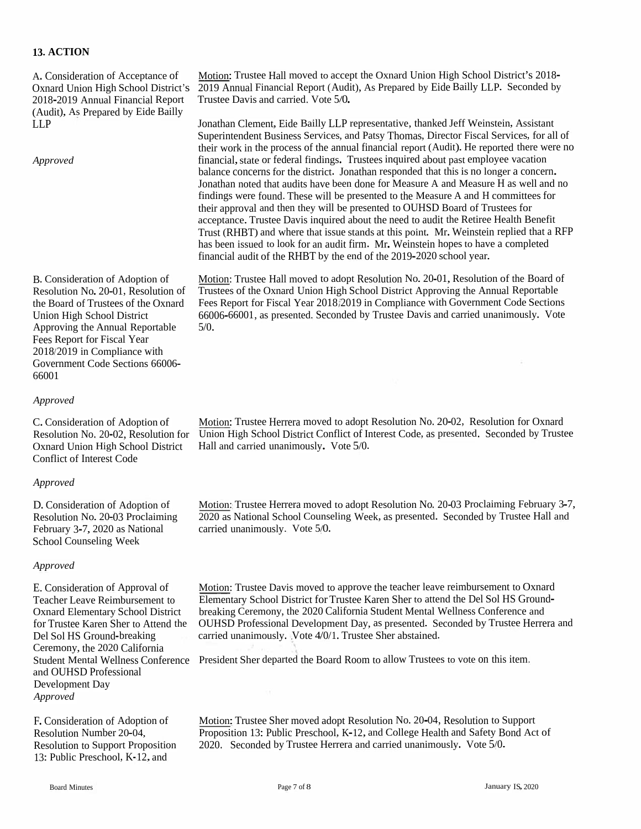### **13. ACTION**

2018-2019 Annual Financial Report Trustee Davis and carried. Vote 5/0. (Audit), As Prepared by Eide Bailly

Approving the Annual Reportable Fees Report for Fiscal Year 2018/2019 in Compliance with Government Code Sections 66006- 66001

#### *Approved*

Conflict of Interest Code

#### *Approved*

D. Consideration of Adoption of Motion: Trustee Herrera moved<br>Resolution No. 20-03 Proclaiming 2020 as National School Counse<br>February 3-7, 2020 as National carried unanimously. Vote 5/0. School Counseling Week

#### *Approved*

E. Consideration of Approval of Teacher Leave Reimbursement to Oxnard Elementary School District Del Sol HS Ground-breaking Ceremony, the 2020 California and OUHSD Professional Development Day *Approved*

13: Public Preschool, K-12, and

Motion: Trustee Hall moved to accep<sup>t</sup> the Oxnard Union High School District's 2018- 2018 A. Consideration of Acceptance of Motion: Trustee Hall moved to accept the Oxnard Union High School District's 2018-<br>Oxnard Union High School District's 2019 Annual Financial Report (Audit), As Prepared by Eide Bailly

LLP Jonathan Clement, Eide Bailly LLP representative, thanked Jeff Weinstein, Assistant Superintendent Business Services, and Patsy Thomas, Director Fiscal Services, for all of their work in the process of the annual financial repor<sup>t</sup> (Audit). He reported there were no financial, state or federal findings. Trustees inquired about past employee vacation balance concerns for the district. Jonathan responded that this is no longer <sup>a</sup> concern. Jonathan noted that audits have been done for Measure <sup>A</sup> and Measure <sup>H</sup> as well and no findings were found. These will be presented to the Measure <sup>A</sup> and <sup>H</sup> committees for their approva<sup>l</sup> and then they will be presented to OUHSD Board of Trustees for acceptance. Trustee Davis inquired about the need to audit the Retiree Health Benefit Trust (RHBT) and where that issue stands at this point. Mr. Weinstein replied that <sup>a</sup> RFP has been issued to look for an audit firm. Mr. Weinstein hopes to have a completed financial audit of the RHBT by the end of the 2019-2020 school year. *Approved*<br>
financial, state or federal findings. Trustees inquired about past empl<br>
balance concerns for the district. Jonathan responded that this is no k<br>
Jonathan noted that audits have been done for Measure A and Meas

B. Consideration of Adoption of Motion: Trustee Hall moved to adopt Resolution No. 20-01, Resolution of the Board of Resolution No. 20-01, Resolution of Trustees of the Oxnard Union High School District Approving the Annual Reportable the Board of Trustees of the Oxnard Fees Report for Fiscal Year 2018/2019 in Compliance with Government Code Sections Union High School District 66006-66001, as presented. Seconded by Trustee Davis and carried unanimously. Vote 5/0.

C. Consideration of Adoption of Motion: Trustee Herrera moved to adopt Resolution No. 20-02, Resolution for Oxnard Resolution No. 20-02, Resolution for Union High School District Conflict of Interest Code, as presented. Seconded by Trustee Oxnard Union High School District Hall and carried unanimously. Vote 5/0.

> Motion: Trustee Herrera moved to adopt Resolution No. 20-03 Proclaiming February 3-7, 2020 as National School Counseling Week, as presented. Seconded by Trustee Hall and

> Motion: Trustee Davis moved to approve the teacher leave reimbursement to Oxnard Elementary School District for Trustee Karen Sher to attend the Del Sol HS Ground breaking Ceremony, the 2020 California Student Mental Wellness Conference and for Trustee Karen Sher to Attend the OUHSD Professional Development Day, as presented. Seconded by Trustee Herrera and carried unanimously. Vote 4/0/1. Trustee Sher abstained.

Student Mental Wellness Conference President Sher departed the Board Room to allow Trustees to vote on this item,

Motion:Trustee Sher moved adopt Resolution No. 20-04, Resolution to Support Proposition 13: Public Preschool, K-12, and College Health and Safety Bond Act of F. Consideration of Adoption of Motion: Trustee Sher moved adopt Resolution No. 20-04, Resolution to Support Proposition 2020. Seconded by Trustee Herrera and carried unanimously. Vote 5/0. Seconded by Trustee Herrera and